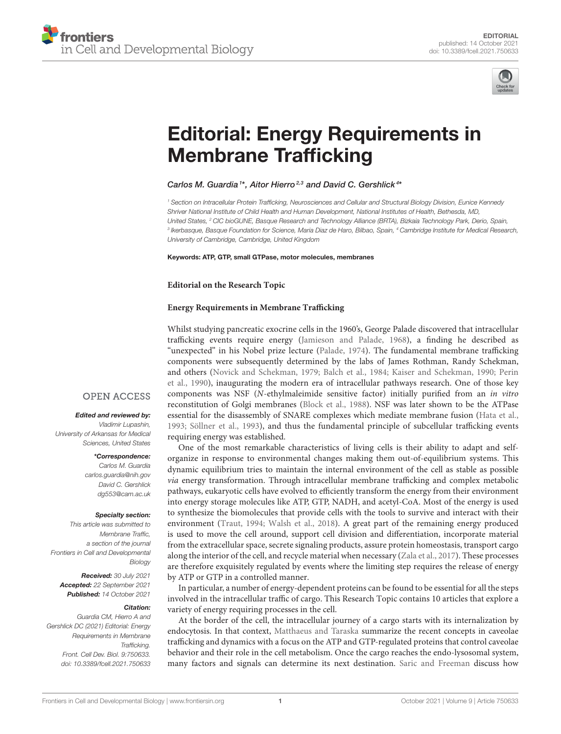



# [Editorial: Energy Requirements in](https://www.frontiersin.org/articles/10.3389/fcell.2021.750633/full) Membrane Trafficking

# Carlos M. Guardia<sup>1\*</sup>, Aitor Hierro<sup>2,3</sup> and David C. Gershlick<sup>4\*</sup>

*<sup>1</sup> Section on Intracellular Protein Trafficking, Neurosciences and Cellular and Structural Biology Division, Eunice Kennedy Shriver National Institute of Child Health and Human Development, National Institutes of Health, Bethesda, MD, United States, <sup>2</sup> CIC bioGUNE, Basque Research and Technology Alliance (BRTA), Bizkaia Technology Park, Derio, Spain, 3 Ikerbasque, Basque Foundation for Science, Maria Diaz de Haro, Bilbao, Spain, <sup>4</sup> Cambridge Institute for Medical Research, University of Cambridge, Cambridge, United Kingdom*

## Keywords: ATP, GTP, small GTPase, motor molecules, membranes

## **Editorial on the Research Topic**

# **[Energy Requirements in Membrane Trafficking](https://www.frontiersin.org/research-topics/12996/energy-requirements-in-membrane-trafficking)**

Whilst studying pancreatic exocrine cells in the 1960's, George Palade discovered that intracellular trafficking events require energy [\(Jamieson and Palade, 1968\)](#page-1-0), a finding he described as "unexpected" in his Nobel prize lecture [\(Palade, 1974\)](#page-1-1). The fundamental membrane trafficking components were subsequently determined by the labs of James Rothman, Randy Schekman, and others [\(Novick and Schekman, 1979;](#page-1-2) [Balch et al., 1984;](#page-1-3) [Kaiser and Schekman, 1990;](#page-1-4) Perin et al., [1990\)](#page-1-5), inaugurating the modern era of intracellular pathways research. One of those key components was NSF (N-ethylmaleimide sensitive factor) initially purified from an in vitro reconstitution of Golgi membranes [\(Block et al., 1988\)](#page-1-6). NSF was later shown to be the ATPase essential for the disassembly of SNARE complexes which mediate membrane fusion [\(Hata et al.,](#page-1-7) [1993;](#page-1-7) [Söllner et al., 1993\)](#page-1-8), and thus the fundamental principle of subcellular trafficking events requiring energy was established.

One of the most remarkable characteristics of living cells is their ability to adapt and selforganize in response to environmental changes making them out-of-equilibrium systems. This dynamic equilibrium tries to maintain the internal environment of the cell as stable as possible via energy transformation. Through intracellular membrane trafficking and complex metabolic pathways, eukaryotic cells have evolved to efficiently transform the energy from their environment into energy storage molecules like ATP, GTP, NADH, and acetyl-CoA. Most of the energy is used to synthesize the biomolecules that provide cells with the tools to survive and interact with their environment [\(Traut, 1994;](#page-2-0) [Walsh et al., 2018\)](#page-2-1). A great part of the remaining energy produced is used to move the cell around, support cell division and differentiation, incorporate material from the extracellular space, secrete signaling products, assure protein homeostasis, transport cargo along the interior of the cell, and recycle material when necessary [\(Zala et al., 2017\)](#page-2-2). These processes are therefore exquisitely regulated by events where the limiting step requires the release of energy by ATP or GTP in a controlled manner.

In particular, a number of energy-dependent proteins can be found to be essential for all the steps involved in the intracellular traffic of cargo. This Research Topic contains 10 articles that explore a variety of energy requiring processes in the cell.

At the border of the cell, the intracellular journey of a cargo starts with its internalization by endocytosis. In that context, [Matthaeus and Taraska](https://doi.org/10.3389/fcell.2020.614472) summarize the recent concepts in caveolae trafficking and dynamics with a focus on the ATP and GTP-regulated proteins that control caveolae behavior and their role in the cell metabolism. Once the cargo reaches the endo-lysosomal system, many factors and signals can determine its next destination. [Saric and Freeman](https://doi.org/10.3389/fcell.2020.611326) discuss how

# **OPEN ACCESS**

## Edited and reviewed by:

*Vladimir Lupashin, University of Arkansas for Medical Sciences, United States*

#### \*Correspondence: *Carlos M. Guardia*

*[carlos.guardia@nih.gov](mailto:carlos.guardia@nih.gov) David C. Gershlick [dg553@cam.ac.uk](mailto:dg553@cam.ac.uk)*

## Specialty section:

*This article was submitted to Membrane Traffic, a section of the journal Frontiers in Cell and Developmental Biology*

Received: *30 July 2021* Accepted: *22 September 2021* Published: *14 October 2021*

## Citation:

*Guardia CM, Hierro A and Gershlick DC (2021) Editorial: Energy Requirements in Membrane Trafficking. Front. Cell Dev. Biol. 9:750633. doi: [10.3389/fcell.2021.750633](https://doi.org/10.3389/fcell.2021.750633)*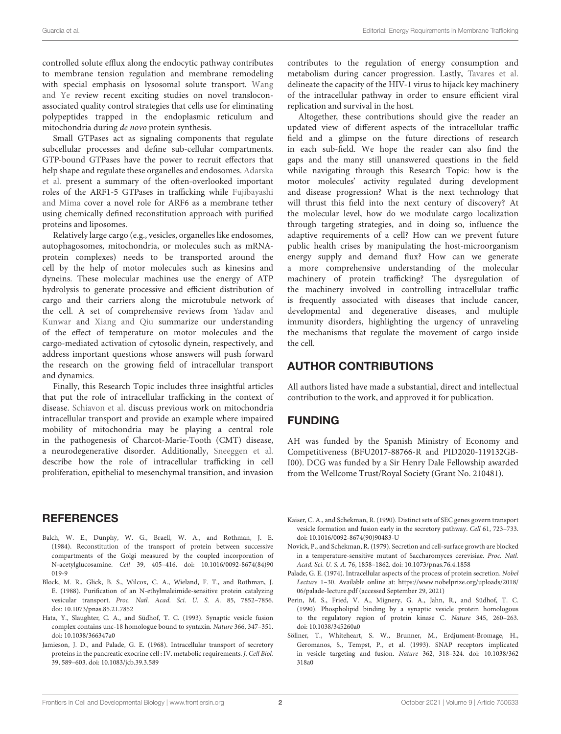controlled solute efflux along the endocytic pathway contributes to membrane tension regulation and membrane remodeling [with special emphasis on lysosomal solute transport.](https://doi.org/10.3389/fcell.2020.610689) Wang and Ye review recent exciting studies on novel transloconassociated quality control strategies that cells use for eliminating polypeptides trapped in the endoplasmic reticulum and mitochondria during de novo protein synthesis.

Small GTPases act as signaling components that regulate subcellular processes and define sub-cellular compartments. GTP-bound GTPases have the power to recruit effectors that [help shape and regulate these organelles and endosomes.](https://doi.org/10.3389/fcell.2021.679046) Adarska et al. present a summary of the often-overlooked important roles of the ARF1-5 GTPases in trafficking while Fujibayashi and Mima [cover a novel role for ARF6 as a membrane tether](https://doi.org/10.3389/fcell.2021.628910) using chemically defined reconstitution approach with purified proteins and liposomes.

Relatively large cargo (e.g., vesicles, organelles like endosomes, autophagosomes, mitochondria, or molecules such as mRNAprotein complexes) needs to be transported around the cell by the help of motor molecules such as kinesins and dyneins. These molecular machines use the energy of ATP hydrolysis to generate processive and efficient distribution of cargo and their carriers along the microtubule network of [the cell. A set of comprehensive reviews from](https://doi.org/10.3389/fcell.2021.610899) Yadav and Kunwar and [Xiang and Qiu](https://doi.org/10.3389/fcell.2020.598952) summarize our understanding of the effect of temperature on motor molecules and the cargo-mediated activation of cytosolic dynein, respectively, and address important questions whose answers will push forward the research on the growing field of intracellular transport and dynamics.

Finally, this Research Topic includes three insightful articles that put the role of intracellular trafficking in the context of disease. [Schiavon et al.](https://doi.org/10.3389/fcell.2021.624823) discuss previous work on mitochondria intracellular transport and provide an example where impaired mobility of mitochondria may be playing a central role in the pathogenesis of Charcot-Marie-Tooth (CMT) disease, a neurodegenerative disorder. Additionally, [Sneeggen et al.](https://doi.org/10.3389/fcell.2020.597608) describe how the role of intracellular trafficking in cell proliferation, epithelial to mesenchymal transition, and invasion

# **REFERENCES**

- <span id="page-1-3"></span>Balch, W. E., Dunphy, W. G., Braell, W. A., and Rothman, J. E. (1984). Reconstitution of the transport of protein between successive compartments of the Golgi measured by the coupled incorporation of N-acetylglucosamine. Cell [39, 405–416. doi: 10.1016/0092-8674\(84\)90](https://doi.org/10.1016/0092-8674(84)90019-9) 019-9
- <span id="page-1-6"></span>Block, M. R., Glick, B. S., Wilcox, C. A., Wieland, F. T., and Rothman, J. E. (1988). Purification of an N-ethylmaleimide-sensitive protein catalyzing vesicular transport. Proc. Natl. Acad. Sci. U. S. A. 85, 7852–7856. doi: [10.1073/pnas.85.21.7852](https://doi.org/10.1073/pnas.85.21.7852)
- <span id="page-1-7"></span>Hata, Y., Slaughter, C. A., and Südhof, T. C. (1993). Synaptic vesicle fusion complex contains unc-18 homologue bound to syntaxin. Nature 366, 347–351. doi: [10.1038/366347a0](https://doi.org/10.1038/366347a0)
- <span id="page-1-0"></span>Jamieson, J. D., and Palade, G. E. (1968). Intracellular transport of secretory proteins in the pancreatic exocrine cell : IV. metabolic requirements. J. Cell Biol. 39, 589–603. doi: [10.1083/jcb.39.3.589](https://doi.org/10.1083/jcb.39.3.589)

contributes to the regulation of energy consumption and metabolism during cancer progression. Lastly, [Tavares et al.](https://doi.org/10.3389/fcell.2021.622610) delineate the capacity of the HIV-1 virus to hijack key machinery of the intracellular pathway in order to ensure efficient viral replication and survival in the host.

Altogether, these contributions should give the reader an updated view of different aspects of the intracellular traffic field and a glimpse on the future directions of research in each sub-field. We hope the reader can also find the gaps and the many still unanswered questions in the field while navigating through this Research Topic: how is the motor molecules' activity regulated during development and disease progression? What is the next technology that will thrust this field into the next century of discovery? At the molecular level, how do we modulate cargo localization through targeting strategies, and in doing so, influence the adaptive requirements of a cell? How can we prevent future public health crises by manipulating the host-microorganism energy supply and demand flux? How can we generate a more comprehensive understanding of the molecular machinery of protein trafficking? The dysregulation of the machinery involved in controlling intracellular traffic is frequently associated with diseases that include cancer, developmental and degenerative diseases, and multiple immunity disorders, highlighting the urgency of unraveling the mechanisms that regulate the movement of cargo inside the cell.

# AUTHOR CONTRIBUTIONS

All authors listed have made a substantial, direct and intellectual contribution to the work, and approved it for publication.

# FUNDING

AH was funded by the Spanish Ministry of Economy and Competitiveness (BFU2017-88766-R and PID2020-119132GB-I00). DCG was funded by a Sir Henry Dale Fellowship awarded from the Wellcome Trust/Royal Society (Grant No. 210481).

- <span id="page-1-4"></span>Kaiser, C. A., and Schekman, R. (1990). Distinct sets of SEC genes govern transport vesicle formation and fusion early in the secretory pathway. Cell 61, 723–733. doi: [10.1016/0092-8674\(90\)90483-U](https://doi.org/10.1016/0092-8674(90)90483-U)
- <span id="page-1-2"></span>Novick, P., and Schekman, R. (1979). Secretion and cell-surface growth are blocked in a temperature-sensitive mutant of Saccharomyces cerevisiae. Proc. Natl. Acad. Sci. U. S. A. 76, 1858–1862. doi: [10.1073/pnas.76.4.1858](https://doi.org/10.1073/pnas.76.4.1858)
- <span id="page-1-1"></span>Palade, G. E. (1974). Intracellular aspects of the process of protein secretion. Nobel Lecture 1–30. Available online at: [https://www.nobelprize.org/uploads/2018/](https://www.nobelprize.org/uploads/2018/06/palade-lecture.pdf) [06/palade-lecture.pdf](https://www.nobelprize.org/uploads/2018/06/palade-lecture.pdf) (accessed September 29, 2021)
- <span id="page-1-5"></span>Perin, M. S., Fried, V. A., Mignery, G. A., Jahn, R., and Südhof, T. C. (1990). Phospholipid binding by a synaptic vesicle protein homologous to the regulatory region of protein kinase C. Nature 345, 260–263. doi: [10.1038/345260a0](https://doi.org/10.1038/345260a0)
- <span id="page-1-8"></span>Söllner, T., Whiteheart, S. W., Brunner, M., Erdjument-Bromage, H., Geromanos, S., Tempst, P., et al. (1993). SNAP receptors implicated [in vesicle targeting and fusion.](https://doi.org/10.1038/362318a0) Nature 362, 318–324. doi: 10.1038/362 318a0